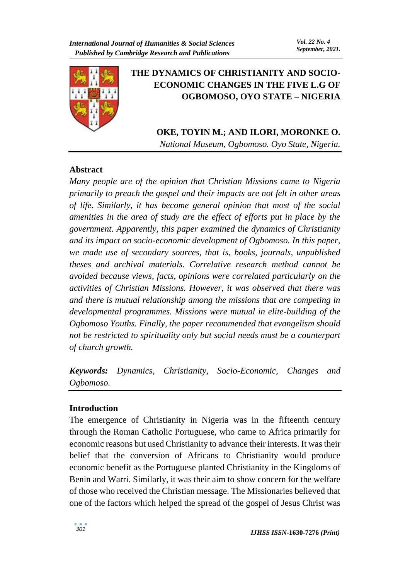

# **THE DYNAMICS OF CHRISTIANITY AND SOCIO-ECONOMIC CHANGES IN THE FIVE L.G OF OGBOMOSO, OYO STATE – NIGERIA**

# **OKE, TOYIN M.; AND ILORI, MORONKE O.**

*National Museum, Ogbomoso. Oyo State, Nigeria.*

## **Abstract**

*Many people are of the opinion that Christian Missions came to Nigeria primarily to preach the gospel and their impacts are not felt in other areas of life. Similarly, it has become general opinion that most of the social amenities in the area of study are the effect of efforts put in place by the government. Apparently, this paper examined the dynamics of Christianity and its impact on socio-economic development of Ogbomoso. In this paper, we made use of secondary sources, that is, books, journals, unpublished theses and archival materials. Correlative research method cannot be avoided because views, facts, opinions were correlated particularly on the activities of Christian Missions. However, it was observed that there was and there is mutual relationship among the missions that are competing in developmental programmes. Missions were mutual in elite-building of the Ogbomoso Youths. Finally, the paper recommended that evangelism should not be restricted to spirituality only but social needs must be a counterpart of church growth.*

*Keywords: Dynamics, Christianity, Socio-Economic, Changes and Ogbomoso.* 

### **Introduction**

The emergence of Christianity in Nigeria was in the fifteenth century through the Roman Catholic Portuguese, who came to Africa primarily for economic reasons but used Christianity to advance their interests. It was their belief that the conversion of Africans to Christianity would produce economic benefit as the Portuguese planted Christianity in the Kingdoms of Benin and Warri. Similarly, it was their aim to show concern for the welfare of those who received the Christian message. The Missionaries believed that one of the factors which helped the spread of the gospel of Jesus Christ was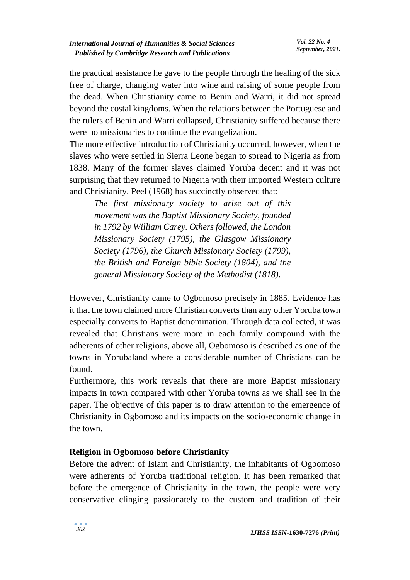the practical assistance he gave to the people through the healing of the sick free of charge, changing water into wine and raising of some people from the dead. When Christianity came to Benin and Warri, it did not spread beyond the costal kingdoms. When the relations between the Portuguese and the rulers of Benin and Warri collapsed, Christianity suffered because there were no missionaries to continue the evangelization.

The more effective introduction of Christianity occurred, however, when the slaves who were settled in Sierra Leone began to spread to Nigeria as from 1838. Many of the former slaves claimed Yoruba decent and it was not surprising that they returned to Nigeria with their imported Western culture and Christianity. Peel (1968) has succinctly observed that:

*The first missionary society to arise out of this movement was the Baptist Missionary Society, founded in 1792 by William Carey. Others followed, the London Missionary Society (1795), the Glasgow Missionary Society (1796), the Church Missionary Society (1799), the British and Foreign bible Society (1804), and the general Missionary Society of the Methodist (1818).* 

However, Christianity came to Ogbomoso precisely in 1885. Evidence has it that the town claimed more Christian converts than any other Yoruba town especially converts to Baptist denomination. Through data collected, it was revealed that Christians were more in each family compound with the adherents of other religions, above all, Ogbomoso is described as one of the towns in Yorubaland where a considerable number of Christians can be found.

Furthermore, this work reveals that there are more Baptist missionary impacts in town compared with other Yoruba towns as we shall see in the paper. The objective of this paper is to draw attention to the emergence of Christianity in Ogbomoso and its impacts on the socio-economic change in the town.

### **Religion in Ogbomoso before Christianity**

Before the advent of Islam and Christianity, the inhabitants of Ogbomoso were adherents of Yoruba traditional religion. It has been remarked that before the emergence of Christianity in the town, the people were very conservative clinging passionately to the custom and tradition of their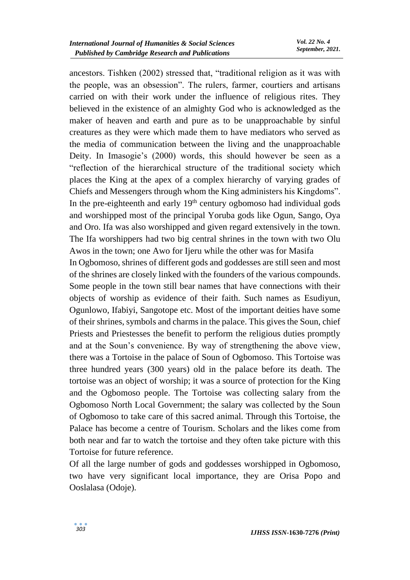ancestors. Tishken (2002) stressed that, "traditional religion as it was with the people, was an obsession". The rulers, farmer, courtiers and artisans carried on with their work under the influence of religious rites. They believed in the existence of an almighty God who is acknowledged as the maker of heaven and earth and pure as to be unapproachable by sinful creatures as they were which made them to have mediators who served as the media of communication between the living and the unapproachable Deity. In Imasogie's (2000) words, this should however be seen as a "reflection of the hierarchical structure of the traditional society which places the King at the apex of a complex hierarchy of varying grades of Chiefs and Messengers through whom the King administers his Kingdoms". In the pre-eighteenth and early  $19<sup>th</sup>$  century ogbomoso had individual gods and worshipped most of the principal Yoruba gods like Ogun, Sango, Oya and Oro. Ifa was also worshipped and given regard extensively in the town. The Ifa worshippers had two big central shrines in the town with two Olu Awos in the town; one Awo for Ijeru while the other was for Masifa

In Ogbomoso, shrines of different gods and goddesses are still seen and most of the shrines are closely linked with the founders of the various compounds. Some people in the town still bear names that have connections with their objects of worship as evidence of their faith. Such names as Esudiyun, Ogunlowo, Ifabiyi, Sangotope etc. Most of the important deities have some of their shrines, symbols and charms in the palace. This gives the Soun, chief Priests and Priestesses the benefit to perform the religious duties promptly and at the Soun's convenience. By way of strengthening the above view, there was a Tortoise in the palace of Soun of Ogbomoso. This Tortoise was three hundred years (300 years) old in the palace before its death. The tortoise was an object of worship; it was a source of protection for the King and the Ogbomoso people. The Tortoise was collecting salary from the Ogbomoso North Local Government; the salary was collected by the Soun of Ogbomoso to take care of this sacred animal. Through this Tortoise, the Palace has become a centre of Tourism. Scholars and the likes come from both near and far to watch the tortoise and they often take picture with this Tortoise for future reference.

Of all the large number of gods and goddesses worshipped in Ogbomoso, two have very significant local importance, they are Orisa Popo and Ooslalasa (Odoje).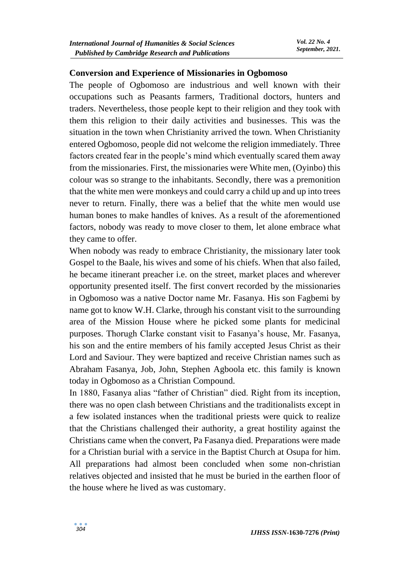#### **Conversion and Experience of Missionaries in Ogbomoso**

The people of Ogbomoso are industrious and well known with their occupations such as Peasants farmers, Traditional doctors, hunters and traders. Nevertheless, those people kept to their religion and they took with them this religion to their daily activities and businesses. This was the situation in the town when Christianity arrived the town. When Christianity entered Ogbomoso, people did not welcome the religion immediately. Three factors created fear in the people's mind which eventually scared them away from the missionaries. First, the missionaries were White men, (Oyinbo) this colour was so strange to the inhabitants. Secondly, there was a premonition that the white men were monkeys and could carry a child up and up into trees never to return. Finally, there was a belief that the white men would use human bones to make handles of knives. As a result of the aforementioned factors, nobody was ready to move closer to them, let alone embrace what they came to offer.

When nobody was ready to embrace Christianity, the missionary later took Gospel to the Baale, his wives and some of his chiefs. When that also failed, he became itinerant preacher i.e. on the street, market places and wherever opportunity presented itself. The first convert recorded by the missionaries in Ogbomoso was a native Doctor name Mr. Fasanya. His son Fagbemi by name got to know W.H. Clarke, through his constant visit to the surrounding area of the Mission House where he picked some plants for medicinal purposes. Thorugh Clarke constant visit to Fasanya's house, Mr. Fasanya, his son and the entire members of his family accepted Jesus Christ as their Lord and Saviour. They were baptized and receive Christian names such as Abraham Fasanya, Job, John, Stephen Agboola etc. this family is known today in Ogbomoso as a Christian Compound.

In 1880, Fasanya alias "father of Christian" died. Right from its inception, there was no open clash between Christians and the traditionalists except in a few isolated instances when the traditional priests were quick to realize that the Christians challenged their authority, a great hostility against the Christians came when the convert, Pa Fasanya died. Preparations were made for a Christian burial with a service in the Baptist Church at Osupa for him. All preparations had almost been concluded when some non-christian relatives objected and insisted that he must be buried in the earthen floor of the house where he lived as was customary.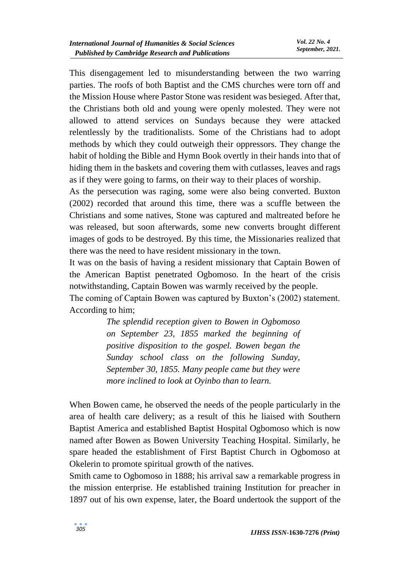This disengagement led to misunderstanding between the two warring parties. The roofs of both Baptist and the CMS churches were torn off and the Mission House where Pastor Stone was resident was besieged. After that, the Christians both old and young were openly molested. They were not allowed to attend services on Sundays because they were attacked relentlessly by the traditionalists. Some of the Christians had to adopt methods by which they could outweigh their oppressors. They change the habit of holding the Bible and Hymn Book overtly in their hands into that of hiding them in the baskets and covering them with cutlasses, leaves and rags as if they were going to farms, on their way to their places of worship.

As the persecution was raging, some were also being converted. Buxton (2002) recorded that around this time, there was a scuffle between the Christians and some natives, Stone was captured and maltreated before he was released, but soon afterwards, some new converts brought different images of gods to be destroyed. By this time, the Missionaries realized that there was the need to have resident missionary in the town.

It was on the basis of having a resident missionary that Captain Bowen of the American Baptist penetrated Ogbomoso. In the heart of the crisis notwithstanding, Captain Bowen was warmly received by the people.

The coming of Captain Bowen was captured by Buxton's (2002) statement. According to him;

> *The splendid reception given to Bowen in Ogbomoso on September 23, 1855 marked the beginning of positive disposition to the gospel. Bowen began the Sunday school class on the following Sunday, September 30, 1855. Many people came but they were more inclined to look at Oyinbo than to learn.*

When Bowen came, he observed the needs of the people particularly in the area of health care delivery; as a result of this he liaised with Southern Baptist America and established Baptist Hospital Ogbomoso which is now named after Bowen as Bowen University Teaching Hospital. Similarly, he spare headed the establishment of First Baptist Church in Ogbomoso at Okelerin to promote spiritual growth of the natives.

Smith came to Ogbomoso in 1888; his arrival saw a remarkable progress in the mission enterprise. He established training Institution for preacher in 1897 out of his own expense, later, the Board undertook the support of the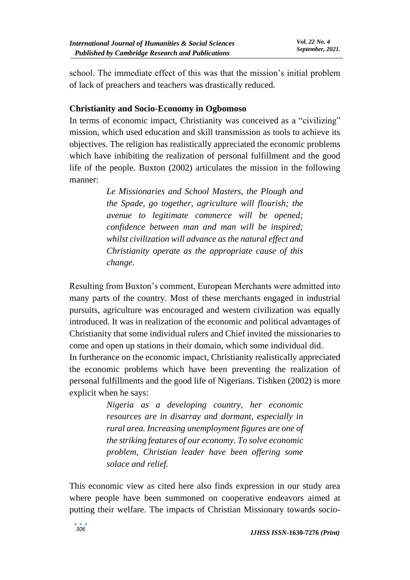school. The immediate effect of this was that the mission's initial problem of lack of preachers and teachers was drastically reduced.

## **Christianity and Socio-Economy in Ogbomoso**

In terms of economic impact, Christianity was conceived as a "civilizing" mission, which used education and skill transmission as tools to achieve its objectives. The religion has realistically appreciated the economic problems which have inhibiting the realization of personal fulfillment and the good life of the people. Buxton (2002) articulates the mission in the following manner:

> *Le Missionaries and School Masters, the Plough and the Spade, go together, agriculture will flourish; the avenue to legitimate commerce will be opened; confidence between man and man will be inspired; whilst civilization will advance as the natural effect and Christianity operate as the appropriate cause of this change.*

Resulting from Buxton's comment, European Merchants were admitted into many parts of the country. Most of these merchants engaged in industrial pursuits, agriculture was encouraged and western civilization was equally introduced. It was in realization of the economic and political advantages of Christianity that some individual rulers and Chief invited the missionaries to come and open up stations in their domain, which some individual did.

In furtherance on the economic impact, Christianity realistically appreciated the economic problems which have been preventing the realization of personal fulfillments and the good life of Nigerians. Tishken (2002) is more explicit when he says:

> *Nigeria as a developing country, her economic resources are in disarray and dormant, especially in rural area. Increasing unemployment figures are one of the striking features of our economy. To solve economic problem, Christian leader have been offering some solace and relief.*

This economic view as cited here also finds expression in our study area where people have been summoned on cooperative endeavors aimed at putting their welfare. The impacts of Christian Missionary towards socio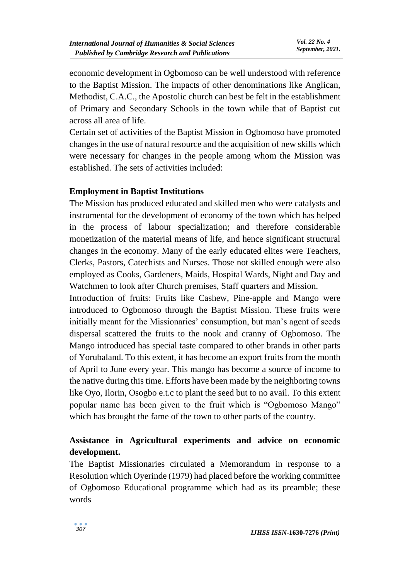economic development in Ogbomoso can be well understood with reference to the Baptist Mission. The impacts of other denominations like Anglican, Methodist, C.A.C., the Apostolic church can best be felt in the establishment of Primary and Secondary Schools in the town while that of Baptist cut across all area of life.

Certain set of activities of the Baptist Mission in Ogbomoso have promoted changes in the use of natural resource and the acquisition of new skills which were necessary for changes in the people among whom the Mission was established. The sets of activities included:

## **Employment in Baptist Institutions**

The Mission has produced educated and skilled men who were catalysts and instrumental for the development of economy of the town which has helped in the process of labour specialization; and therefore considerable monetization of the material means of life, and hence significant structural changes in the economy. Many of the early educated elites were Teachers, Clerks, Pastors, Catechists and Nurses. Those not skilled enough were also employed as Cooks, Gardeners, Maids, Hospital Wards, Night and Day and Watchmen to look after Church premises, Staff quarters and Mission.

Introduction of fruits: Fruits like Cashew, Pine-apple and Mango were introduced to Ogbomoso through the Baptist Mission. These fruits were initially meant for the Missionaries' consumption, but man's agent of seeds dispersal scattered the fruits to the nook and cranny of Ogbomoso. The Mango introduced has special taste compared to other brands in other parts of Yorubaland. To this extent, it has become an export fruits from the month of April to June every year. This mango has become a source of income to the native during this time. Efforts have been made by the neighboring towns like Oyo, Ilorin, Osogbo e.t.c to plant the seed but to no avail. To this extent popular name has been given to the fruit which is "Ogbomoso Mango" which has brought the fame of the town to other parts of the country.

## **Assistance in Agricultural experiments and advice on economic development.**

The Baptist Missionaries circulated a Memorandum in response to a Resolution which Oyerinde (1979) had placed before the working committee of Ogbomoso Educational programme which had as its preamble; these words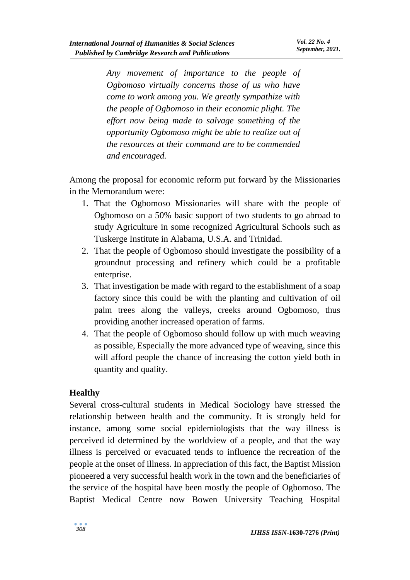*Any movement of importance to the people of Ogbomoso virtually concerns those of us who have come to work among you. We greatly sympathize with the people of Ogbomoso in their economic plight. The effort now being made to salvage something of the opportunity Ogbomoso might be able to realize out of the resources at their command are to be commended and encouraged.*

Among the proposal for economic reform put forward by the Missionaries in the Memorandum were:

- 1. That the Ogbomoso Missionaries will share with the people of Ogbomoso on a 50% basic support of two students to go abroad to study Agriculture in some recognized Agricultural Schools such as Tuskerge Institute in Alabama, U.S.A. and Trinidad.
- 2. That the people of Ogbomoso should investigate the possibility of a groundnut processing and refinery which could be a profitable enterprise.
- 3. That investigation be made with regard to the establishment of a soap factory since this could be with the planting and cultivation of oil palm trees along the valleys, creeks around Ogbomoso, thus providing another increased operation of farms.
- 4. That the people of Ogbomoso should follow up with much weaving as possible, Especially the more advanced type of weaving, since this will afford people the chance of increasing the cotton yield both in quantity and quality.

## **Healthy**

Several cross-cultural students in Medical Sociology have stressed the relationship between health and the community. It is strongly held for instance, among some social epidemiologists that the way illness is perceived id determined by the worldview of a people, and that the way illness is perceived or evacuated tends to influence the recreation of the people at the onset of illness. In appreciation of this fact, the Baptist Mission pioneered a very successful health work in the town and the beneficiaries of the service of the hospital have been mostly the people of Ogbomoso. The Baptist Medical Centre now Bowen University Teaching Hospital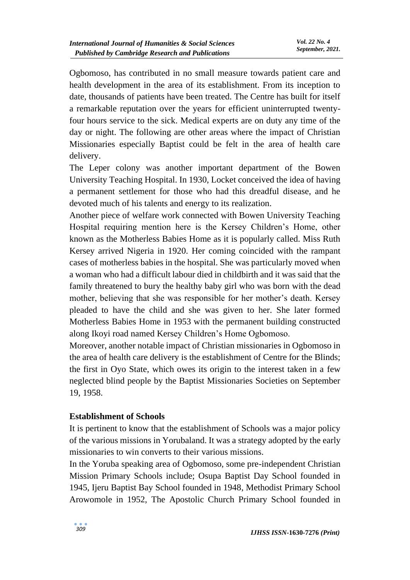Ogbomoso, has contributed in no small measure towards patient care and health development in the area of its establishment. From its inception to date, thousands of patients have been treated. The Centre has built for itself a remarkable reputation over the years for efficient uninterrupted twentyfour hours service to the sick. Medical experts are on duty any time of the day or night. The following are other areas where the impact of Christian Missionaries especially Baptist could be felt in the area of health care delivery.

The Leper colony was another important department of the Bowen University Teaching Hospital. In 1930, Locket conceived the idea of having a permanent settlement for those who had this dreadful disease, and he devoted much of his talents and energy to its realization.

Another piece of welfare work connected with Bowen University Teaching Hospital requiring mention here is the Kersey Children's Home, other known as the Motherless Babies Home as it is popularly called. Miss Ruth Kersey arrived Nigeria in 1920. Her coming coincided with the rampant cases of motherless babies in the hospital. She was particularly moved when a woman who had a difficult labour died in childbirth and it was said that the family threatened to bury the healthy baby girl who was born with the dead mother, believing that she was responsible for her mother's death. Kersey pleaded to have the child and she was given to her. She later formed Motherless Babies Home in 1953 with the permanent building constructed along Ikoyi road named Kersey Children's Home Ogbomoso.

Moreover, another notable impact of Christian missionaries in Ogbomoso in the area of health care delivery is the establishment of Centre for the Blinds; the first in Oyo State, which owes its origin to the interest taken in a few neglected blind people by the Baptist Missionaries Societies on September 19, 1958.

### **Establishment of Schools**

It is pertinent to know that the establishment of Schools was a major policy of the various missions in Yorubaland. It was a strategy adopted by the early missionaries to win converts to their various missions.

In the Yoruba speaking area of Ogbomoso, some pre-independent Christian Mission Primary Schools include; Osupa Baptist Day School founded in 1945, Ijeru Baptist Bay School founded in 1948, Methodist Primary School Arowomole in 1952, The Apostolic Church Primary School founded in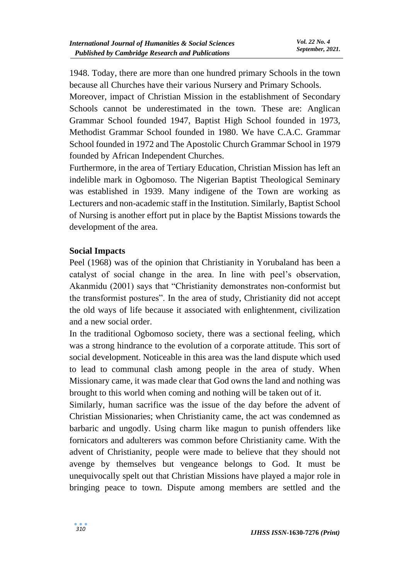1948. Today, there are more than one hundred primary Schools in the town because all Churches have their various Nursery and Primary Schools.

Moreover, impact of Christian Mission in the establishment of Secondary Schools cannot be underestimated in the town. These are: Anglican Grammar School founded 1947, Baptist High School founded in 1973, Methodist Grammar School founded in 1980. We have C.A.C. Grammar School founded in 1972 and The Apostolic Church Grammar School in 1979 founded by African Independent Churches.

Furthermore, in the area of Tertiary Education, Christian Mission has left an indelible mark in Ogbomoso. The Nigerian Baptist Theological Seminary was established in 1939. Many indigene of the Town are working as Lecturers and non-academic staff in the Institution. Similarly, Baptist School of Nursing is another effort put in place by the Baptist Missions towards the development of the area.

## **Social Impacts**

Peel (1968) was of the opinion that Christianity in Yorubaland has been a catalyst of social change in the area. In line with peel's observation, Akanmidu (2001) says that "Christianity demonstrates non-conformist but the transformist postures". In the area of study, Christianity did not accept the old ways of life because it associated with enlightenment, civilization and a new social order.

In the traditional Ogbomoso society, there was a sectional feeling, which was a strong hindrance to the evolution of a corporate attitude. This sort of social development. Noticeable in this area was the land dispute which used to lead to communal clash among people in the area of study. When Missionary came, it was made clear that God owns the land and nothing was brought to this world when coming and nothing will be taken out of it.

Similarly, human sacrifice was the issue of the day before the advent of Christian Missionaries; when Christianity came, the act was condemned as barbaric and ungodly. Using charm like magun to punish offenders like fornicators and adulterers was common before Christianity came. With the advent of Christianity, people were made to believe that they should not avenge by themselves but vengeance belongs to God. It must be unequivocally spelt out that Christian Missions have played a major role in bringing peace to town. Dispute among members are settled and the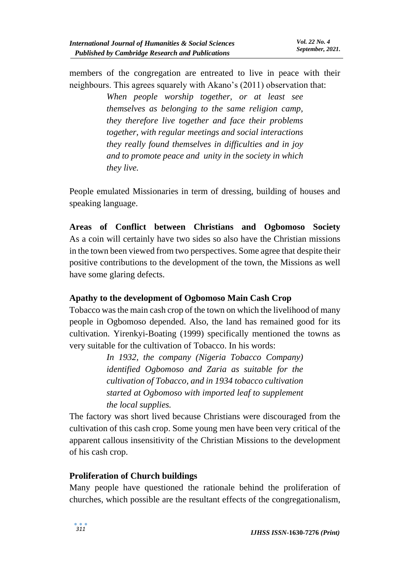members of the congregation are entreated to live in peace with their neighbours. This agrees squarely with Akano's (2011) observation that:

> *When people worship together, or at least see themselves as belonging to the same religion camp, they therefore live together and face their problems together, with regular meetings and social interactions they really found themselves in difficulties and in joy and to promote peace and unity in the society in which they live.*

People emulated Missionaries in term of dressing, building of houses and speaking language.

**Areas of Conflict between Christians and Ogbomoso Society** As a coin will certainly have two sides so also have the Christian missions in the town been viewed from two perspectives. Some agree that despite their positive contributions to the development of the town, the Missions as well have some glaring defects.

## **Apathy to the development of Ogbomoso Main Cash Crop**

Tobacco was the main cash crop of the town on which the livelihood of many people in Ogbomoso depended. Also, the land has remained good for its cultivation. Yirenkyi-Boating (1999) specifically mentioned the towns as very suitable for the cultivation of Tobacco. In his words:

> *In 1932, the company (Nigeria Tobacco Company) identified Ogbomoso and Zaria as suitable for the cultivation of Tobacco, and in 1934 tobacco cultivation started at Ogbomoso with imported leaf to supplement the local supplies.*

The factory was short lived because Christians were discouraged from the cultivation of this cash crop. Some young men have been very critical of the apparent callous insensitivity of the Christian Missions to the development of his cash crop.

### **Proliferation of Church buildings**

Many people have questioned the rationale behind the proliferation of churches, which possible are the resultant effects of the congregationalism,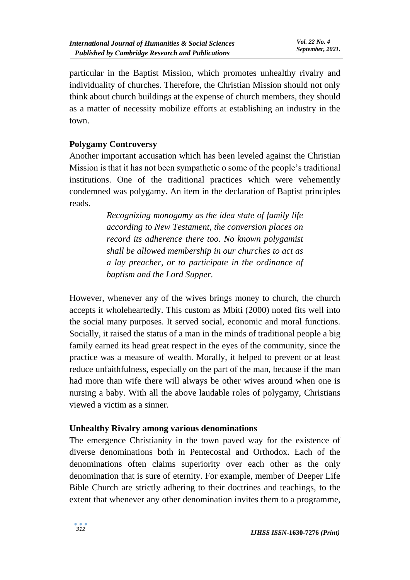particular in the Baptist Mission, which promotes unhealthy rivalry and individuality of churches. Therefore, the Christian Mission should not only think about church buildings at the expense of church members, they should as a matter of necessity mobilize efforts at establishing an industry in the town.

## **Polygamy Controversy**

Another important accusation which has been leveled against the Christian Mission is that it has not been sympathetic o some of the people's traditional institutions. One of the traditional practices which were vehemently condemned was polygamy. An item in the declaration of Baptist principles reads.

> *Recognizing monogamy as the idea state of family life according to New Testament, the conversion places on record its adherence there too. No known polygamist shall be allowed membership in our churches to act as a lay preacher, or to participate in the ordinance of baptism and the Lord Supper.*

However, whenever any of the wives brings money to church, the church accepts it wholeheartedly. This custom as Mbiti (2000) noted fits well into the social many purposes. It served social, economic and moral functions. Socially, it raised the status of a man in the minds of traditional people a big family earned its head great respect in the eyes of the community, since the practice was a measure of wealth. Morally, it helped to prevent or at least reduce unfaithfulness, especially on the part of the man, because if the man had more than wife there will always be other wives around when one is nursing a baby. With all the above laudable roles of polygamy, Christians viewed a victim as a sinner.

### **Unhealthy Rivalry among various denominations**

The emergence Christianity in the town paved way for the existence of diverse denominations both in Pentecostal and Orthodox. Each of the denominations often claims superiority over each other as the only denomination that is sure of eternity. For example, member of Deeper Life Bible Church are strictly adhering to their doctrines and teachings, to the extent that whenever any other denomination invites them to a programme,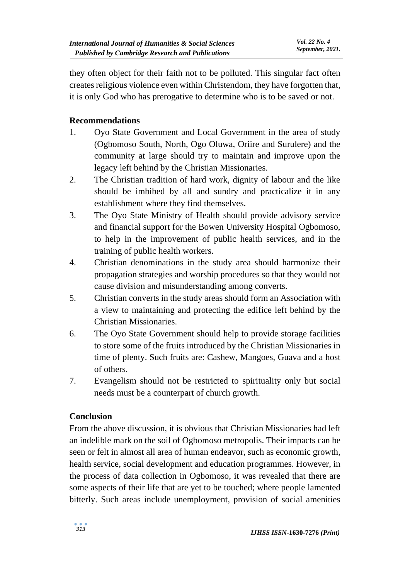they often object for their faith not to be polluted. This singular fact often creates religious violence even within Christendom, they have forgotten that, it is only God who has prerogative to determine who is to be saved or not.

## **Recommendations**

- 1. Oyo State Government and Local Government in the area of study (Ogbomoso South, North, Ogo Oluwa, Oriire and Surulere) and the community at large should try to maintain and improve upon the legacy left behind by the Christian Missionaries.
- 2. The Christian tradition of hard work, dignity of labour and the like should be imbibed by all and sundry and practicalize it in any establishment where they find themselves.
- 3. The Oyo State Ministry of Health should provide advisory service and financial support for the Bowen University Hospital Ogbomoso, to help in the improvement of public health services, and in the training of public health workers.
- 4. Christian denominations in the study area should harmonize their propagation strategies and worship procedures so that they would not cause division and misunderstanding among converts.
- 5. Christian converts in the study areas should form an Association with a view to maintaining and protecting the edifice left behind by the Christian Missionaries.
- 6. The Oyo State Government should help to provide storage facilities to store some of the fruits introduced by the Christian Missionaries in time of plenty. Such fruits are: Cashew, Mangoes, Guava and a host of others.
- 7. Evangelism should not be restricted to spirituality only but social needs must be a counterpart of church growth.

### **Conclusion**

From the above discussion, it is obvious that Christian Missionaries had left an indelible mark on the soil of Ogbomoso metropolis. Their impacts can be seen or felt in almost all area of human endeavor, such as economic growth, health service, social development and education programmes. However, in the process of data collection in Ogbomoso, it was revealed that there are some aspects of their life that are yet to be touched; where people lamented bitterly. Such areas include unemployment, provision of social amenities